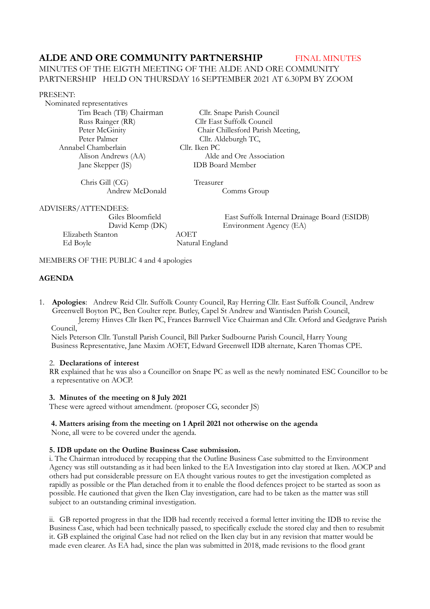# **ALDE AND ORE COMMUNITY PARTNERSHIP FINAL MINUTES**

# MINUTES OF THE EIGTH MEETING OF THE ALDE AND ORE COMMUNITY PARTNERSHIP HELD ON THURSDAY 16 SEPTEMBER 2021 AT 6.30PM BY ZOOM

#### PRESENT:

 Nominated representatives Annabel Chamberlain Cllr. Iken PC Jane Skepper (JS)

 Tim Beach (TB) ChairmanCllr. Snape Parish Council Russ Rainger (RR) Cllr East Suffolk Council<br>Peter McGinity Chair Chillesford Parish Peter McGinity<br>
Peter Palmer<br>
Clift. Aldeburgh TC, Cllr. Aldeburgh TC, Alison Andrews (AA) Alde and Ore Association<br>
IDB Board Member

 Chris Gill (CG) Treasurer Andrew McDonald Comms Group

ADVISERS/ATTENDEES:

 Elizabeth Stanton AOET Ed Boyle Natural England

 Giles Bloomfield East Suffolk Internal Drainage Board (ESIDB) David Kemp (DK) Environment Agency (EA)

MEMBERS OF THE PUBLIC 4 and 4 apologies

# **AGENDA**

1. **Apologies**: Andrew Reid Cllr. Suffolk County Council, Ray Herring Cllr. East Suffolk Council, Andrew Greenwell Boyton PC, Ben Coulter repr. Butley, Capel St Andrew and Wantisden Parish Council, Jeremy Hinves Cllr Iken PC, Frances Barnwell Vice Chairman and Cllr. Orford and Gedgrave Parish

Council,

 Niels Peterson Cllr. Tunstall Parish Council, Bill Parker Sudbourne Parish Council, Harry Young Business Representative, Jane Maxim AOET, Edward Greenwell IDB alternate, Karen Thomas CPE.

## 2. **Declarations of interest**

RR explained that he was also a Councillor on Snape PC as well as the newly nominated ESC Councillor to be a representative on AOCP.

## **3. Minutes of the meeting on 8 July 2021**

These were agreed without amendment. (proposer CG, seconder JS)

# **4. Matters arising from the meeting on 1 April 2021 not otherwise on the agenda**

None, all were to be covered under the agenda.

## **5. IDB update on the Outline Business Case submission.**

i. The Chairman introduced by recapping that the Outline Business Case submitted to the Environment Agency was still outstanding as it had been linked to the EA Investigation into clay stored at Iken. AOCP and others had put considerable pressure on EA thought various routes to get the investigation completed as rapidly as possible or the Plan detached from it to enable the flood defences project to be started as soon as possible. He cautioned that given the Iken Clay investigation, care had to be taken as the matter was still subject to an outstanding criminal investigation.

ii. GB reported progress in that the IDB had recently received a formal letter inviting the IDB to revise the Business Case, which had been technically passed, to specifically exclude the stored clay and then to resubmit it. GB explained the original Case had not relied on the Iken clay but in any revision that matter would be made even clearer. As EA had, since the plan was submitted in 2018, made revisions to the flood grant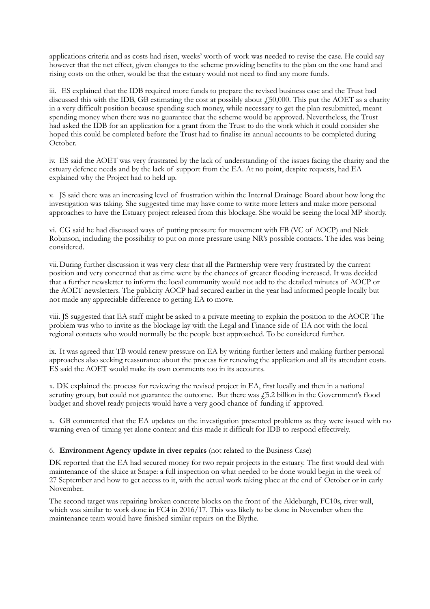applications criteria and as costs had risen, weeks' worth of work was needed to revise the case. He could say however that the net effect, given changes to the scheme providing benefits to the plan on the one hand and rising costs on the other, would be that the estuary would not need to find any more funds.

iii. ES explained that the IDB required more funds to prepare the revised business case and the Trust had discussed this with the IDB, GB estimating the cost at possibly about  $\ell$ 50,000. This put the AOET as a charity in a very difficult position because spending such money, while necessary to get the plan resubmitted, meant spending money when there was no guarantee that the scheme would be approved. Nevertheless, the Trust had asked the IDB for an application for a grant from the Trust to do the work which it could consider she hoped this could be completed before the Trust had to finalise its annual accounts to be completed during October.

iv. ES said the AOET was very frustrated by the lack of understanding of the issues facing the charity and the estuary defence needs and by the lack of support from the EA. At no point, despite requests, had EA explained why the Project had to held up.

v. JS said there was an increasing level of frustration within the Internal Drainage Board about how long the investigation was taking. She suggested time may have come to write more letters and make more personal approaches to have the Estuary project released from this blockage. She would be seeing the local MP shortly.

vi. CG said he had discussed ways of putting pressure for movement with FB (VC of AOCP) and Nick Robinson, including the possibility to put on more pressure using NR's possible contacts. The idea was being considered.

vii.During further discussion it was very clear that all the Partnership were very frustrated by the current position and very concerned that as time went by the chances of greater flooding increased. It was decided that a further newsletter to inform the local community would not add to the detailed minutes of AOCP or the AOET newsletters. The publicity AOCP had secured earlier in the year had informed people locally but not made any appreciable difference to getting EA to move.

viii. JS suggested that EA staff might be asked to a private meeting to explain the position to the AOCP. The problem was who to invite as the blockage lay with the Legal and Finance side of EA not with the local regional contacts who would normally be the people best approached. To be considered further.

ix. It was agreed that TB would renew pressure on EA by writing further letters and making further personal approaches also seeking reassurance about the process for renewing the application and all its attendant costs. ES said the AOET would make its own comments too in its accounts.

x. DK explained the process for reviewing the revised project in EA, first locally and then in a national scrutiny group, but could not guarantee the outcome. But there was  $f$  5.2 billion in the Government's flood budget and shovel ready projects would have a very good chance of funding if approved.

x. GB commented that the EA updates on the investigation presented problems as they were issued with no warning even of timing yet alone content and this made it difficult for IDB to respond effectively.

## 6. **Environment Agency update in river repairs** (not related to the Business Case)

DK reported that the EA had secured money for two repair projects in the estuary. The first would deal with maintenance of the sluice at Snape: a full inspection on what needed to be done would begin in the week of 27 September and how to get access to it, with the actual work taking place at the end of October or in early November.

The second target was repairing broken concrete blocks on the front of the Aldeburgh, FC10s, river wall, which was similar to work done in FC4 in 2016/17. This was likely to be done in November when the maintenance team would have finished similar repairs on the Blythe.